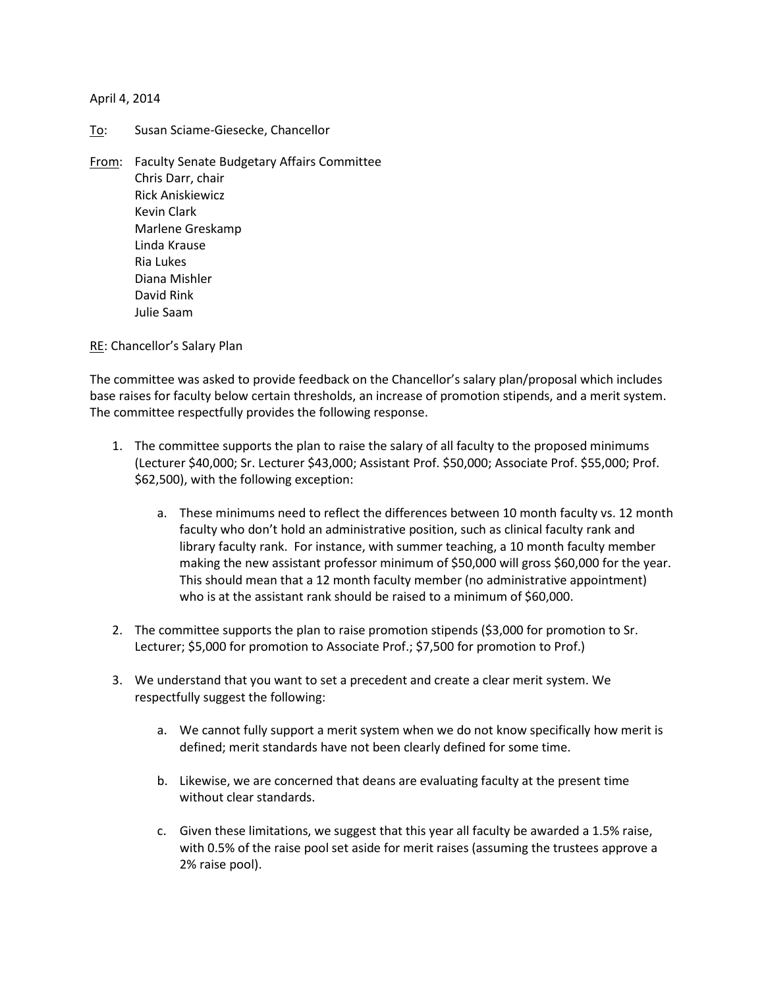## April 4, 2014

- To: Susan Sciame-Giesecke, Chancellor
- From: Faculty Senate Budgetary Affairs Committee Chris Darr, chair Rick Aniskiewicz Kevin Clark Marlene Greskamp Linda Krause Ria Lukes Diana Mishler David Rink Julie Saam

RE: Chancellor's Salary Plan

The committee was asked to provide feedback on the Chancellor's salary plan/proposal which includes base raises for faculty below certain thresholds, an increase of promotion stipends, and a merit system. The committee respectfully provides the following response.

- 1. The committee supports the plan to raise the salary of all faculty to the proposed minimums (Lecturer \$40,000; Sr. Lecturer \$43,000; Assistant Prof. \$50,000; Associate Prof. \$55,000; Prof. \$62,500), with the following exception:
	- a. These minimums need to reflect the differences between 10 month faculty vs. 12 month faculty who don't hold an administrative position, such as clinical faculty rank and library faculty rank. For instance, with summer teaching, a 10 month faculty member making the new assistant professor minimum of \$50,000 will gross \$60,000 for the year. This should mean that a 12 month faculty member (no administrative appointment) who is at the assistant rank should be raised to a minimum of \$60,000.
- 2. The committee supports the plan to raise promotion stipends (\$3,000 for promotion to Sr. Lecturer; \$5,000 for promotion to Associate Prof.; \$7,500 for promotion to Prof.)
- 3. We understand that you want to set a precedent and create a clear merit system. We respectfully suggest the following:
	- a. We cannot fully support a merit system when we do not know specifically how merit is defined; merit standards have not been clearly defined for some time.
	- b. Likewise, we are concerned that deans are evaluating faculty at the present time without clear standards.
	- c. Given these limitations, we suggest that this year all faculty be awarded a 1.5% raise, with 0.5% of the raise pool set aside for merit raises (assuming the trustees approve a 2% raise pool).